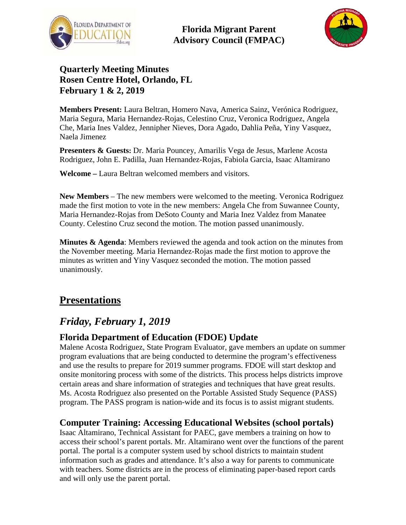

**Florida Migrant Parent Advisory Council (FMPAC)**



## **Quarterly Meeting Minutes Rosen Centre Hotel, Orlando, FL February 1 & 2, 2019**

**Members Present:** Laura Beltran, Homero Nava, America Sainz, Verónica Rodriguez, Maria Segura, Maria Hernandez-Rojas, Celestino Cruz, Veronica Rodriguez, Angela Che, Maria Ines Valdez, Jennipher Nieves, Dora Agado, Dahlia Peña, Yiny Vasquez, Naela Jimenez

**Presenters & Guests:** Dr. Maria Pouncey, Amarilis Vega de Jesus, Marlene Acosta Rodriguez, John E. Padilla, Juan Hernandez-Rojas, Fabiola Garcia, Isaac Altamirano

**Welcome –** Laura Beltran welcomed members and visitors.

**New Members** – The new members were welcomed to the meeting. Veronica Rodriguez made the first motion to vote in the new members: Angela Che from Suwannee County, Maria Hernandez-Rojas from DeSoto County and Maria Inez Valdez from Manatee County. Celestino Cruz second the motion. The motion passed unanimously.

**Minutes & Agenda**: Members reviewed the agenda and took action on the minutes from the November meeting. Maria Hernandez-Rojas made the first motion to approve the minutes as written and Yiny Vasquez seconded the motion. The motion passed unanimously.

## **Presentations**

## *Friday, February 1, 2019*

#### **Florida Department of Education (FDOE) Update**

Malene Acosta Rodriguez, State Program Evaluator, gave members an update on summer program evaluations that are being conducted to determine the program's effectiveness and use the results to prepare for 2019 summer programs. FDOE will start desktop and onsite monitoring process with some of the districts. This process helps districts improve certain areas and share information of strategies and techniques that have great results. Ms. Acosta Rodriguez also presented on the Portable Assisted Study Sequence (PASS) program. The PASS program is nation-wide and its focus is to assist migrant students.

#### **Computer Training: Accessing Educational Websites (school portals)**

Isaac Altamirano, Technical Assistant for PAEC, gave members a training on how to access their school's parent portals. Mr. Altamirano went over the functions of the parent portal. The portal is a computer system used by school districts to maintain student information such as grades and attendance. It's also a way for parents to communicate with teachers. Some districts are in the process of eliminating paper-based report cards and will only use the parent portal.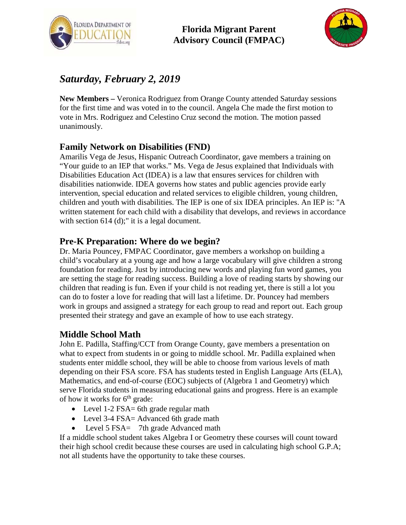



# *Saturday, February 2, 2019*

**New Members –** Veronica Rodriguez from Orange County attended Saturday sessions for the first time and was voted in to the council. Angela Che made the first motion to vote in Mrs. Rodriguez and Celestino Cruz second the motion. The motion passed unanimously.

## **Family Network on Disabilities (FND)**

Amarilis Vega de Jesus, Hispanic Outreach Coordinator, gave members a training on "Your guide to an IEP that works." Ms. Vega de Jesus explained that Individuals with Disabilities Education Act (IDEA) is a law that ensures services for children with disabilities nationwide. IDEA governs how states and public agencies provide early intervention, special education and related services to eligible children, young children, children and youth with disabilities. The IEP is one of six IDEA principles. An IEP is: "A written statement for each child with a disability that develops, and reviews in accordance with section 614 (d);" it is a legal document.

### **Pre-K Preparation: Where do we begin?**

Dr. Maria Pouncey, FMPAC Coordinator, gave members a workshop on building a child's vocabulary at a young age and how a large vocabulary will give children a strong foundation for reading. Just by introducing new words and playing fun word games, you are setting the stage for reading success. Building a love of reading starts by showing our children that reading is fun. Even if your child is not reading yet, there is still a lot you can do to foster a love for reading that will last a lifetime. Dr. Pouncey had members work in groups and assigned a strategy for each group to read and report out. Each group presented their strategy and gave an example of how to use each strategy.

### **Middle School Math**

John E. Padilla, Staffing/CCT from Orange County, gave members a presentation on what to expect from students in or going to middle school. Mr. Padilla explained when students enter middle school, they will be able to choose from various levels of math depending on their FSA score. FSA has students tested in English Language Arts (ELA), Mathematics, and end-of-course (EOC) subjects of (Algebra 1 and Geometry) which serve Florida students in measuring educational gains and progress. Here is an example of how it works for  $6<sup>th</sup>$  grade:

- Level 1-2 FSA= 6th grade regular math
- Level 3-4 FSA= Advanced 6th grade math
- Level 5 FSA= 7th grade Advanced math

If a middle school student takes Algebra I or Geometry these courses will count toward their high school credit because these courses are used in calculating high school G.P.A; not all students have the opportunity to take these courses.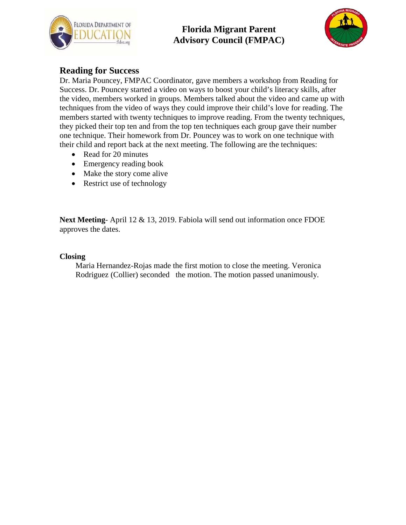

## **Florida Migrant Parent Advisory Council (FMPAC)**



#### **Reading for Success**

Dr. Maria Pouncey, FMPAC Coordinator, gave members a workshop from Reading for Success. Dr. Pouncey started a video on ways to boost your child's literacy skills, after the video, members worked in groups. Members talked about the video and came up with techniques from the video of ways they could improve their child's love for reading. The members started with twenty techniques to improve reading. From the twenty techniques, they picked their top ten and from the top ten techniques each group gave their number one technique. Their homework from Dr. Pouncey was to work on one technique with their child and report back at the next meeting. The following are the techniques:

- Read for 20 minutes
- Emergency reading book
- Make the story come alive
- Restrict use of technology

**Next Meeting**- April 12 & 13, 2019. Fabiola will send out information once FDOE approves the dates.

#### **Closing**

Maria Hernandez-Rojas made the first motion to close the meeting. Veronica Rodriguez (Collier) seconded the motion. The motion passed unanimously.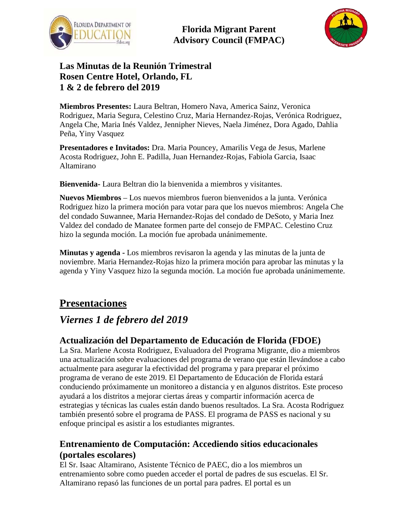

**Florida Migrant Parent Advisory Council (FMPAC)**



### **Las Minutas de la Reunión Trimestral Rosen Centre Hotel, Orlando, FL 1 & 2 de febrero del 2019**

**Miembros Presentes:** Laura Beltran, Homero Nava, America Sainz, Veronica Rodriguez, Maria Segura, Celestino Cruz, Maria Hernandez-Rojas, Verónica Rodriguez, Angela Che, Maria Inés Valdez, Jennipher Nieves, Naela Jiménez, Dora Agado, Dahlia Peña, Yiny Vasquez

**Presentadores e Invitados:** Dra. Maria Pouncey, Amarilis Vega de Jesus, Marlene Acosta Rodriguez, John E. Padilla, Juan Hernandez-Rojas, Fabiola Garcia, Isaac Altamirano

**Bienvenida-** Laura Beltran dio la bienvenida a miembros y visitantes.

**Nuevos Miembros** – Los nuevos miembros fueron bienvenidos a la junta. Verónica Rodriguez hizo la primera moción para votar para que los nuevos miembros: Angela Che del condado Suwannee, Maria Hernandez-Rojas del condado de DeSoto, y Maria Inez Valdez del condado de Manatee formen parte del consejo de FMPAC. Celestino Cruz hizo la segunda moción. La moción fue aprobada unánimemente.

**Minutas y agenda -** Los miembros revisaron la agenda y las minutas de la junta de noviembre. Maria Hernandez-Rojas hizo la primera moción para aprobar las minutas y la agenda y Yiny Vasquez hizo la segunda moción. La moción fue aprobada unánimemente.

## **Presentaciones**

## *Viernes 1 de febrero del 2019*

### **Actualización del Departamento de Educación de Florida (FDOE)**

La Sra. Marlene Acosta Rodriguez, Evaluadora del Programa Migrante, dio a miembros una actualización sobre evaluaciones del programa de verano que están llevándose a cabo actualmente para asegurar la efectividad del programa y para preparar el próximo programa de verano de este 2019. El Departamento de Educación de Florida estará conduciendo próximamente un monitoreo a distancia y en algunos distritos. Este proceso ayudará a los distritos a mejorar ciertas áreas y compartir información acerca de estrategias y técnicas las cuales están dando buenos resultados. La Sra. Acosta Rodriguez también presentó sobre el programa de PASS. El programa de PASS es nacional y su enfoque principal es asistir a los estudiantes migrantes.

#### **Entrenamiento de Computación: Accediendo sitios educacionales (portales escolares)**

El Sr. Isaac Altamirano, Asistente Técnico de PAEC, dio a los miembros un entrenamiento sobre como pueden acceder el portal de padres de sus escuelas. El Sr. Altamirano repasó las funciones de un portal para padres. El portal es un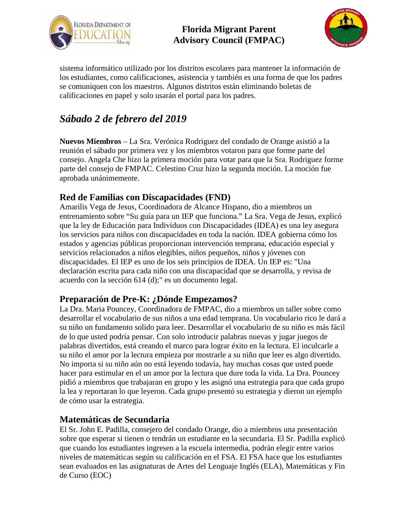



sistema informático utilizado por los distritos escolares para mantener la información de los estudiantes, como calificaciones, asistencia y también es una forma de que los padres se comuniquen con los maestros. Algunos distritos están eliminando boletas de calificaciones en papel y solo usarán el portal para los padres.

# *Sábado 2 de febrero del 2019*

**Nuevos Miembros** – La Sra. Verónica Rodriguez del condado de Orange asistió a la reunión el sábado por primera vez y los miembros votaron para que forme parte del consejo. Angela Che hizo la primera moción para votar para que la Sra. Rodriguez forme parte del consejo de FMPAC. Celestino Cruz hizo la segunda moción. La moción fue aprobada unánimemente.

### **Red de Familias con Discapacidades (FND)**

Amarilis Vega de Jesus, Coordinadora de Alcance Hispano, dio a miembros un entrenamiento sobre "Su guía para un IEP que funciona." La Sra. Vega de Jesus, explicó que la ley de Educación para Individuos con Discapacidades (IDEA) es una ley asegura los servicios para niños con discapacidades en toda la nación. IDEA gobierna cómo los estados y agencias públicas proporcionan intervención temprana, educación especial y servicios relacionados a niños elegibles, niños pequeños, niños y jóvenes con discapacidades. El IEP es uno de los seis principios de IDEA. Un IEP es: "Una declaración escrita para cada niño con una discapacidad que se desarrolla, y revisa de acuerdo con la sección 614 (d);" es un documento legal.

#### **Preparación de Pre-K: ¿Dónde Empezamos?**

La Dra. Maria Pouncey, Coordinadora de FMPAC, dio a miembros un taller sobre como desarrollar el vocabulario de sus niños a una edad temprana. Un vocabulario rico le dará a su niño un fundamento solido para leer. Desarrollar el vocabulario de su niño es más fácil de lo que usted podría pensar. Con solo introducir palabras nuevas y jugar juegos de palabras divertidos, está creando el marco para lograr éxito en la lectura. El inculcarle a su niño el amor por la lectura empieza por mostrarle a su niño que leer es algo divertido. No importa si su niño aún no está leyendo todavía, hay muchas cosas que usted puede hacer para estimular en el un amor por la lectura que dure toda la vida. La Dra. Pouncey pidió a miembros que trabajaran en grupo y les asignó una estrategia para que cada grupo la lea y reportaran lo que leyeron. Cada grupo presentó su estrategia y dieron un ejemplo de cómo usar la estrategia.

#### **Matemáticas de Secundaria**

El Sr. John E. Padilla, consejero del condado Orange, dio a miembros una presentación sobre que esperar si tienen o tendrán un estudiante en la secundaria. El Sr. Padilla explicó que cuando los estudiantes ingresen a la escuela intermedia, podrán elegir entre varios niveles de matemáticas según su calificación en el FSA. El FSA hace que los estudiantes sean evaluados en las asignaturas de Artes del Lenguaje Inglés (ELA), Matemáticas y Fin de Curso (EOC)